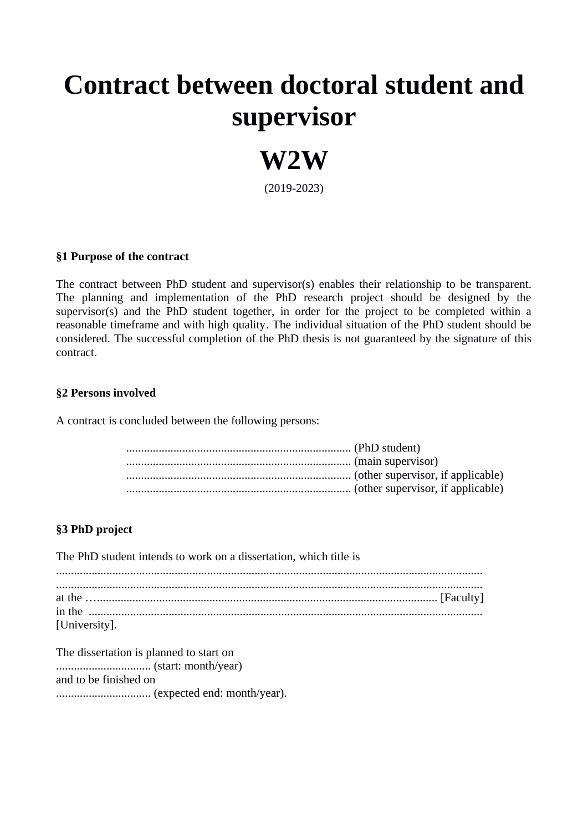# **Contract between doctoral student and supervisor**



(2019-2023)

#### **§1 Purpose of the contract**

The contract between PhD student and supervisor(s) enables their relationship to be transparent. The planning and implementation of the PhD research project should be designed by the supervisor(s) and the PhD student together, in order for the project to be completed within a reasonable timeframe and with high quality. The individual situation of the PhD student should be considered. The successful completion of the PhD thesis is not guaranteed by the signature of this contract.

#### **§2 Persons involved**

A contract is concluded between the following persons:

#### **§3 PhD project**

The PhD student intends to work on a dissertation, which title is ................................................................................................................................................ ................................................................................................................................................ at the …................................................................................................................... [Faculty] in the ..................................................................................................................................... [University].

The dissertation is planned to start on ................................ (start: month/year) and to be finished on ................................ (expected end: month/year).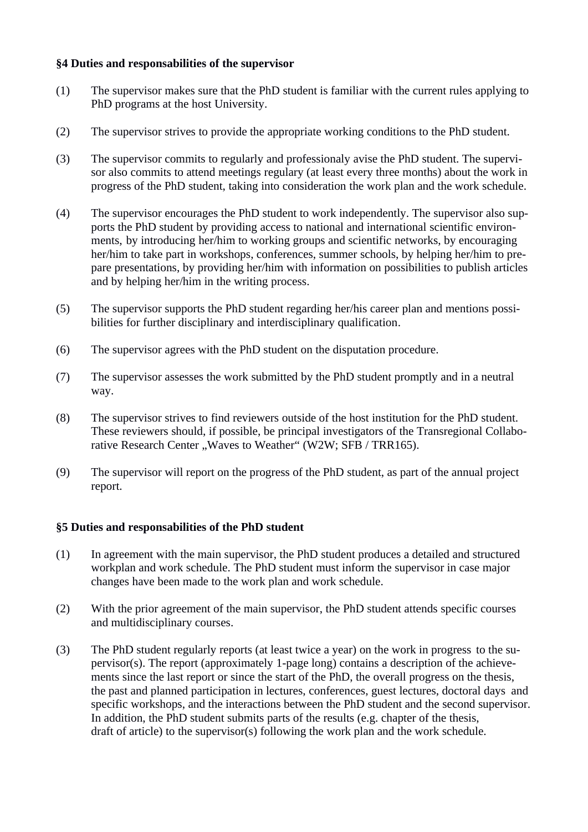#### **§4 Duties and responsabilities of the supervisor**

- (1) The supervisor makes sure that the PhD student is familiar with the current rules applying to PhD programs at the host University.
- (2) The supervisor strives to provide the appropriate working conditions to the PhD student.
- (3) The supervisor commits to regularly and professionaly avise the PhD student. The supervisor also commits to attend meetings regulary (at least every three months) about the work in progress of the PhD student, taking into consideration the work plan and the work schedule.
- (4) The supervisor encourages the PhD student to work independently. The supervisor also supports the PhD student by providing access to national and international scientific environments, by introducing her/him to working groups and scientific networks, by encouraging her/him to take part in workshops, conferences, summer schools, by helping her/him to prepare presentations, by providing her/him with information on possibilities to publish articles and by helping her/him in the writing process.
- (5) The supervisor supports the PhD student regarding her/his career plan and mentions possibilities for further disciplinary and interdisciplinary qualification.
- (6) The supervisor agrees with the PhD student on the disputation procedure.
- (7) The supervisor assesses the work submitted by the PhD student promptly and in a neutral way.
- (8) The supervisor strives to find reviewers outside of the host institution for the PhD student. These reviewers should, if possible, be principal investigators of the Transregional Collaborative Research Center "Waves to Weather" (W2W; SFB / TRR165).
- (9) The supervisor will report on the progress of the PhD student, as part of the annual project report.

#### **§5 Duties and responsabilities of the PhD student**

- (1) In agreement with the main supervisor, the PhD student produces a detailed and structured workplan and work schedule. The PhD student must inform the supervisor in case major changes have been made to the work plan and work schedule.
- (2) With the prior agreement of the main supervisor, the PhD student attends specific courses and multidisciplinary courses.
- (3) The PhD student regularly reports (at least twice a year) on the work in progress to the supervisor(s). The report (approximately 1-page long) contains a description of the achievements since the last report or since the start of the PhD, the overall progress on the thesis, the past and planned participation in lectures, conferences, guest lectures, doctoral days and specific workshops, and the interactions between the PhD student and the second supervisor. In addition, the PhD student submits parts of the results (e.g. chapter of the thesis, draft of article) to the supervisor(s) following the work plan and the work schedule.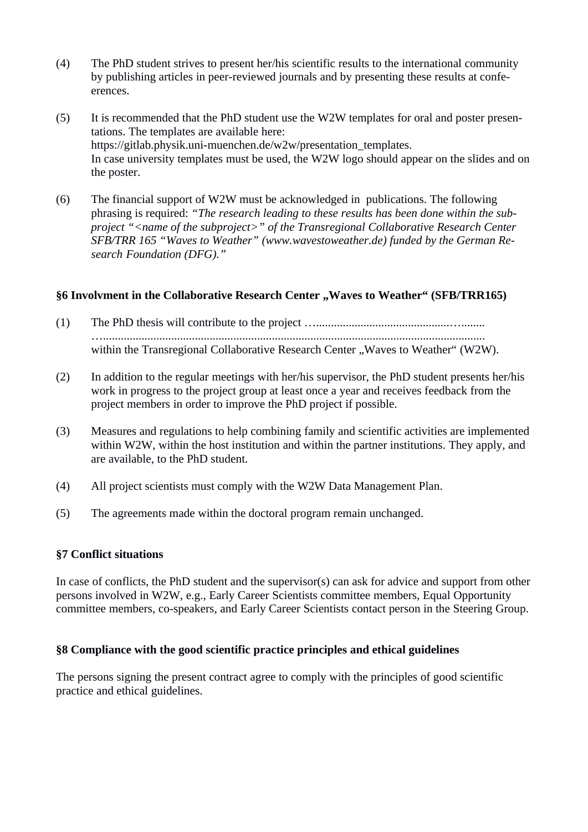- (4) The PhD student strives to present her/his scientific results to the international community by publishing articles in peer-reviewed journals and by presenting these results at confeerences.
- (5) It is recommended that the PhD student use the W2W templates for oral and poster presentations. The templates are available here: https://gitlab.physik.uni-muenchen.de/w2w/presentation\_templates. In case university templates must be used, the W2W logo should appear on the slides and on the poster.
- (6) The financial support of W2W must be acknowledged in publications. The following phrasing is required: *"The research leading to these results has been done within the subproject "<name of the subproject>" of the Transregional Collaborative Research Center SFB/TRR 165 "Waves to Weather" (www.wavestoweather.de) funded by the German Research Foundation (DFG)."*

#### §6 Involvment in the Collaborative Research Center "Waves to Weather" (SFB/TRR165)

- (1) The PhD thesis will contribute to the project ….............................................…........ …................................................................................................................................. within the Transregional Collaborative Research Center "Waves to Weather" (W2W).
- (2) In addition to the regular meetings with her/his supervisor, the PhD student presents her/his work in progress to the project group at least once a year and receives feedback from the project members in order to improve the PhD project if possible.
- (3) Measures and regulations to help combining family and scientific activities are implemented within W2W, within the host institution and within the partner institutions. They apply, and are available, to the PhD student.
- (4) All project scientists must comply with the W2W Data Management Plan.
- (5) The agreements made within the doctoral program remain unchanged.

#### **§7 Conflict situations**

In case of conflicts, the PhD student and the supervisor(s) can ask for advice and support from other persons involved in W2W, e.g., Early Career Scientists committee members, Equal Opportunity committee members, co-speakers, and Early Career Scientists contact person in the Steering Group.

#### **§8 Compliance with the good scientific practice principles and ethical guidelines**

The persons signing the present contract agree to comply with the principles of good scientific practice and ethical guidelines.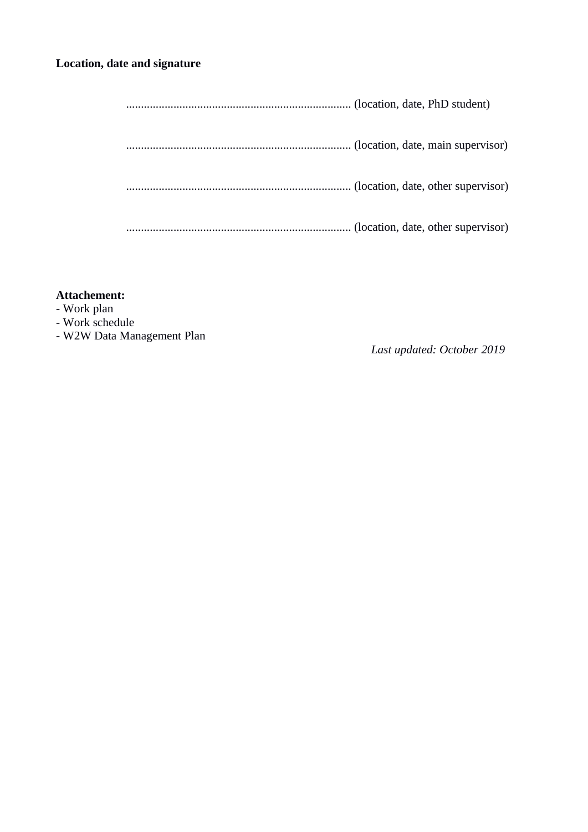#### **Location, date and signature**

#### **Attachement:**

- Work plan
- Work schedule
- W2W Data Management Plan

*Last updated: October 2019*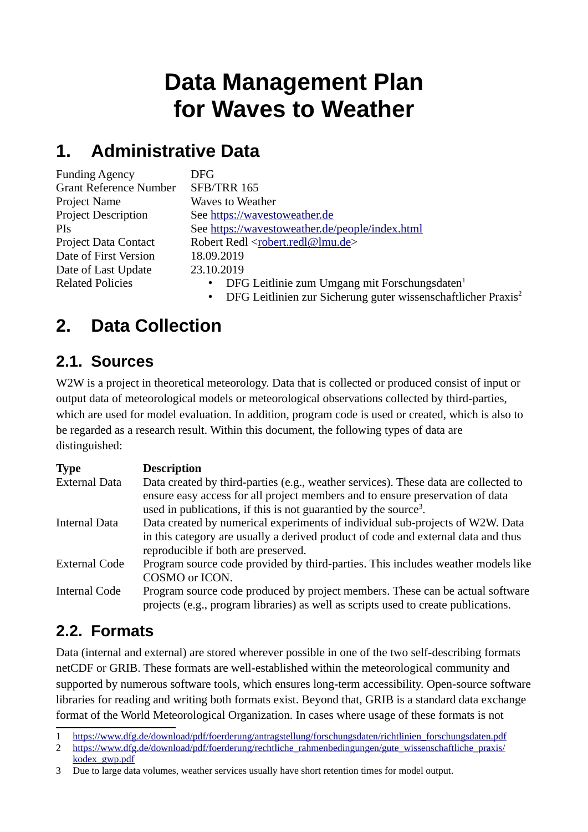# **Data Management Plan for Waves to Weather**

### **1. Administrative Data**

| <b>Funding Agency</b>         | DFG.                                                                   |
|-------------------------------|------------------------------------------------------------------------|
| <b>Grant Reference Number</b> | <b>SFB/TRR 165</b>                                                     |
| Project Name                  | <b>Waves to Weather</b>                                                |
| <b>Project Description</b>    | See https://wavestoweather.de                                          |
| <b>PIs</b>                    | See https://wavestoweather.de/people/index.html                        |
| <b>Project Data Contact</b>   | Robert Redl <robert.redl@lmu.de></robert.redl@lmu.de>                  |
| Date of First Version         | 18.09.2019                                                             |
| Date of Last Update           | 23.10.2019                                                             |
| <b>Related Policies</b>       | DFG Leitlinie zum Umgang mit Forschungsdaten <sup>1</sup><br>$\bullet$ |
|                               |                                                                        |

#### • DFG Leitlinien zur Sicherung guter wissenschaftlicher Praxis<sup>2</sup>

### **2. Data Collection**

#### **2.1. Sources**

W2W is a project in theoretical meteorology. Data that is collected or produced consist of input or output data of meteorological models or meteorological observations collected by third-parties, which are used for model evaluation. In addition, program code is used or created, which is also to be regarded as a research result. Within this document, the following types of data are distinguished:

| <b>Description</b>                                                                                                                                                                                                                                   |
|------------------------------------------------------------------------------------------------------------------------------------------------------------------------------------------------------------------------------------------------------|
| Data created by third-parties (e.g., weather services). These data are collected to<br>ensure easy access for all project members and to ensure preservation of data<br>used in publications, if this is not guarantied by the source <sup>3</sup> . |
| Data created by numerical experiments of individual sub-projects of W2W. Data<br>in this category are usually a derived product of code and external data and thus<br>reproducible if both are preserved.                                            |
| Program source code provided by third-parties. This includes weather models like<br>COSMO or ICON.                                                                                                                                                   |
| Program source code produced by project members. These can be actual software<br>projects (e.g., program libraries) as well as scripts used to create publications.                                                                                  |
|                                                                                                                                                                                                                                                      |

#### **2.2. Formats**

Data (internal and external) are stored wherever possible in one of the two self-describing formats netCDF or GRIB. These formats are well-established within the meteorological community and supported by numerous software tools, which ensures long-term accessibility. Open-source software libraries for reading and writing both formats exist. Beyond that, GRIB is a standard data exchange format of the World Meteorological Organization. In cases where usage of these formats is not

<sup>1</sup> https://www.dfg.de/download/pdf/foerderung/antragstellung/forschungsdaten/richtlinien\_forschungsdaten.pdf

<sup>2</sup> https://www.dfg.de/download/pdf/foerderung/rechtliche\_rahmenbedingungen/gute\_wissenschaftliche\_praxis/ kodex\_gwp.pdf

<sup>3</sup> Due to large data volumes, weather services usually have short retention times for model output.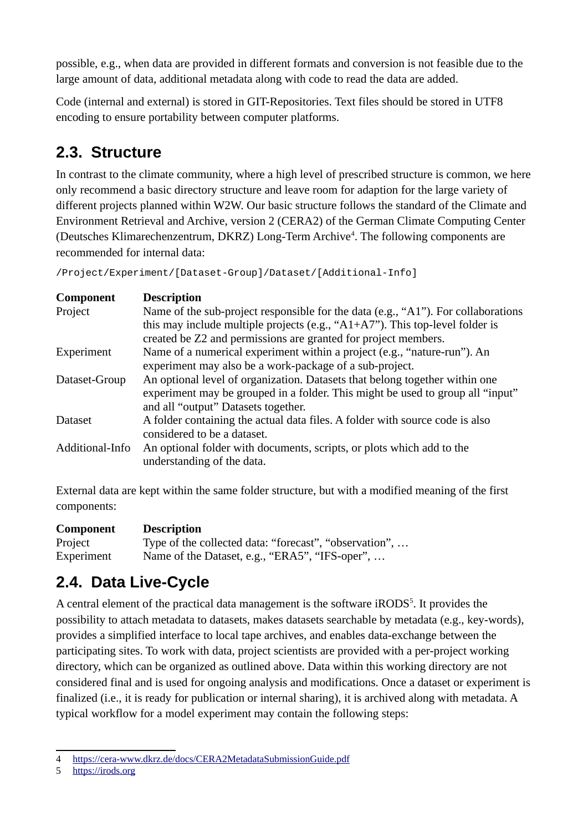possible, e.g., when data are provided in different formats and conversion is not feasible due to the large amount of data, additional metadata along with code to read the data are added.

Code (internal and external) is stored in GIT-Repositories. Text files should be stored in UTF8 encoding to ensure portability between computer platforms.

### **2.3. Structure**

In contrast to the climate community, where a high level of prescribed structure is common, we here only recommend a basic directory structure and leave room for adaption for the large variety of different projects planned within W2W. Our basic structure follows the standard of the Climate and Environment Retrieval and Archive, version 2 (CERA2) of the German Climate Computing Center (Deutsches Klimarechenzentrum, DKRZ) Long-Term Archive<sup>4</sup>. The following components are recommended for internal data:

/Project/Experiment/[Dataset-Group]/Dataset/[Additional-Info]

| <b>Component</b> | <b>Description</b>                                                                |
|------------------|-----------------------------------------------------------------------------------|
| Project          | Name of the sub-project responsible for the data (e.g., "A1"). For collaborations |
|                  | this may include multiple projects (e.g., " $A1+A7$ "). This top-level folder is  |
|                  | created be Z2 and permissions are granted for project members.                    |
| Experiment       | Name of a numerical experiment within a project (e.g., "nature-run"). An          |
|                  | experiment may also be a work-package of a sub-project.                           |
| Dataset-Group    | An optional level of organization. Datasets that belong together within one       |
|                  | experiment may be grouped in a folder. This might be used to group all "input"    |
|                  | and all "output" Datasets together.                                               |
| <b>Dataset</b>   | A folder containing the actual data files. A folder with source code is also      |
|                  | considered to be a dataset.                                                       |
| Additional-Info  | An optional folder with documents, scripts, or plots which add to the             |
|                  | understanding of the data.                                                        |
|                  |                                                                                   |

External data are kept within the same folder structure, but with a modified meaning of the first components:

#### **Component Description**

Project Type of the collected data: "forecast", "observation", ... Experiment Name of the Dataset, e.g., "ERA5", "IFS-oper", ...

#### **2.4. Data Live-Cycle**

A central element of the practical data management is the software iRODS<sup>5</sup>. It provides the possibility to attach metadata to datasets, makes datasets searchable by metadata (e.g., key-words), provides a simplified interface to local tape archives, and enables data-exchange between the participating sites. To work with data, project scientists are provided with a per-project working directory, which can be organized as outlined above. Data within this working directory are not considered final and is used for ongoing analysis and modifications. Once a dataset or experiment is finalized (i.e., it is ready for publication or internal sharing), it is archived along with metadata. A typical workflow for a model experiment may contain the following steps:

<sup>4</sup> https://cera-www.dkrz.de/docs/CERA2MetadataSubmissionGuide.pdf

<sup>5</sup> https://irods.org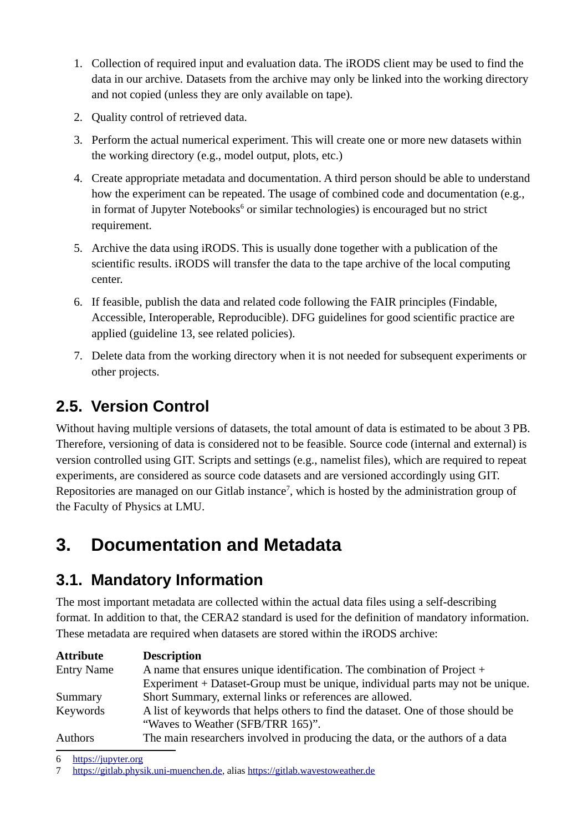- 1. Collection of required input and evaluation data. The iRODS client may be used to find the data in our archive. Datasets from the archive may only be linked into the working directory and not copied (unless they are only available on tape).
- 2. Quality control of retrieved data.
- 3. Perform the actual numerical experiment. This will create one or more new datasets within the working directory (e.g., model output, plots, etc.)
- 4. Create appropriate metadata and documentation. A third person should be able to understand how the experiment can be repeated. The usage of combined code and documentation (e.g., in format of Jupyter Notebooks<sup>6</sup> or similar technologies) is encouraged but no strict requirement.
- 5. Archive the data using iRODS. This is usually done together with a publication of the scientific results. iRODS will transfer the data to the tape archive of the local computing center.
- 6. If feasible, publish the data and related code following the FAIR principles (Findable, Accessible, Interoperable, Reproducible). DFG guidelines for good scientific practice are applied (guideline 13, see related policies).
- 7. Delete data from the working directory when it is not needed for subsequent experiments or other projects.

#### **2.5. Version Control**

Without having multiple versions of datasets, the total amount of data is estimated to be about 3 PB. Therefore, versioning of data is considered not to be feasible. Source code (internal and external) is version controlled using GIT. Scripts and settings (e.g., namelist files), which are required to repeat experiments, are considered as source code datasets and are versioned accordingly using GIT. Repositories are managed on our Gitlab instance<sup>7</sup>, which is hosted by the administration group of the Faculty of Physics at LMU.

### **3. Documentation and Metadata**

#### **3.1. Mandatory Information**

The most important metadata are collected within the actual data files using a self-describing format. In addition to that, the CERA2 standard is used for the definition of mandatory information. These metadata are required when datasets are stored within the iRODS archive:

| <b>Attribute</b>  | <b>Description</b>                                                               |
|-------------------|----------------------------------------------------------------------------------|
| <b>Entry Name</b> | A name that ensures unique identification. The combination of Project +          |
|                   | Experiment + Dataset-Group must be unique, individual parts may not be unique.   |
| Summary           | Short Summary, external links or references are allowed.                         |
| Keywords          | A list of keywords that helps others to find the dataset. One of those should be |
|                   | "Waves to Weather (SFB/TRR 165)".                                                |
| <b>Authors</b>    | The main researchers involved in producing the data, or the authors of a data    |

<sup>6</sup> https://jupyter.org

<sup>7</sup> https://gitlab.physik.uni-muenchen.de, alias https://gitlab.wavestoweather.de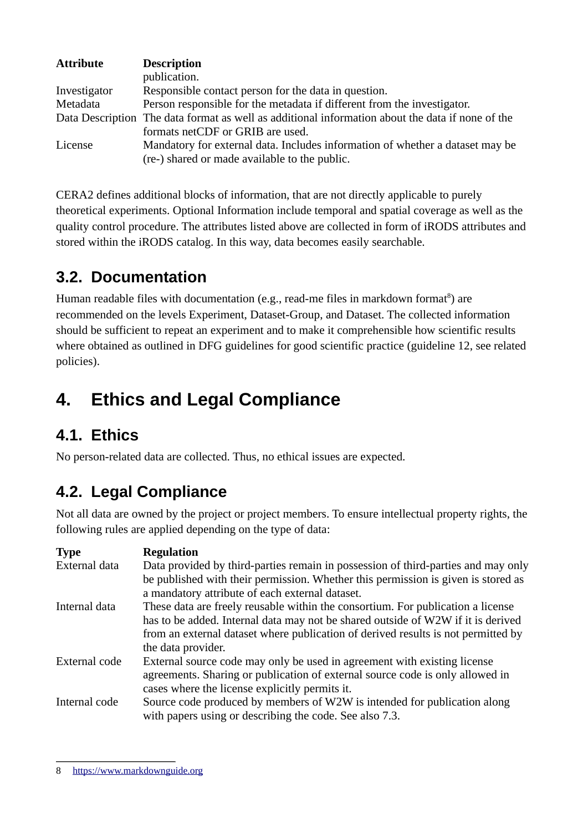| <b>Attribute</b> | <b>Description</b>                                                                               |
|------------------|--------------------------------------------------------------------------------------------------|
|                  | publication.                                                                                     |
| Investigator     | Responsible contact person for the data in question.                                             |
| Metadata         | Person responsible for the metadata if different from the investigator.                          |
|                  | Data Description The data format as well as additional information about the data if none of the |
|                  | formats netCDF or GRIB are used.                                                                 |
| License          | Mandatory for external data. Includes information of whether a dataset may be                    |
|                  | (re-) shared or made available to the public.                                                    |

CERA2 defines additional blocks of information, that are not directly applicable to purely theoretical experiments. Optional Information include temporal and spatial coverage as well as the quality control procedure. The attributes listed above are collected in form of iRODS attributes and stored within the iRODS catalog. In this way, data becomes easily searchable.

### **3.2. Documentation**

Human readable files with documentation (e.g., read-me files in markdown format $\mathrm{^8}$ ) are recommended on the levels Experiment, Dataset-Group, and Dataset. The collected information should be sufficient to repeat an experiment and to make it comprehensible how scientific results where obtained as outlined in DFG guidelines for good scientific practice (guideline 12, see related policies).

# **4. Ethics and Legal Compliance**

#### **4.1. Ethics**

No person-related data are collected. Thus, no ethical issues are expected.

#### **4.2. Legal Compliance**

Not all data are owned by the project or project members. To ensure intellectual property rights, the following rules are applied depending on the type of data:

| <b>Type</b>   | <b>Regulation</b>                                                                 |
|---------------|-----------------------------------------------------------------------------------|
| External data | Data provided by third-parties remain in possession of third-parties and may only |
|               | be published with their permission. Whether this permission is given is stored as |
|               | a mandatory attribute of each external dataset.                                   |
| Internal data | These data are freely reusable within the consortium. For publication a license   |
|               | has to be added. Internal data may not be shared outside of W2W if it is derived  |
|               | from an external dataset where publication of derived results is not permitted by |
|               | the data provider.                                                                |
| External code | External source code may only be used in agreement with existing license          |
|               | agreements. Sharing or publication of external source code is only allowed in     |
|               | cases where the license explicitly permits it.                                    |
| Internal code | Source code produced by members of W2W is intended for publication along          |
|               | with papers using or describing the code. See also 7.3.                           |

<sup>8</sup> https://www.markdownguide.org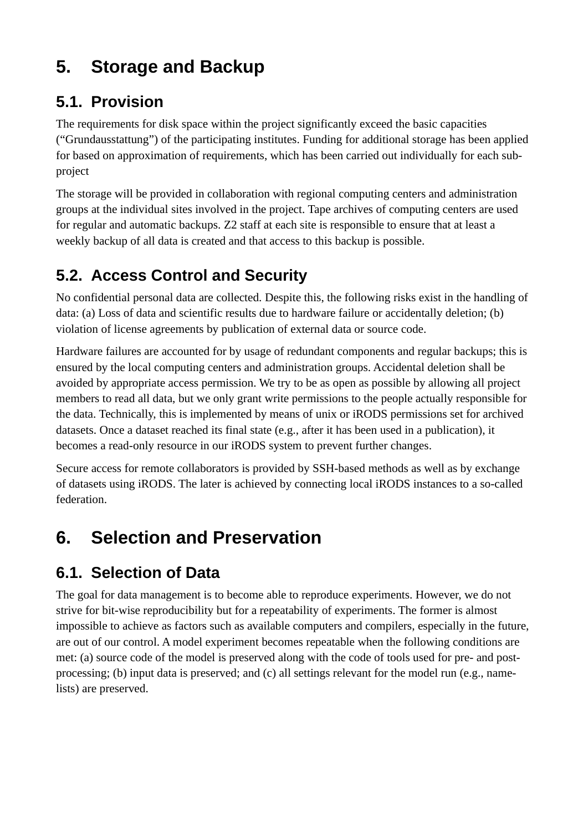## **5. Storage and Backup**

#### **5.1. Provision**

The requirements for disk space within the project significantly exceed the basic capacities ("Grundausstattung") of the participating institutes. Funding for additional storage has been applied for based on approximation of requirements, which has been carried out individually for each subproject

The storage will be provided in collaboration with regional computing centers and administration groups at the individual sites involved in the project. Tape archives of computing centers are used for regular and automatic backups. Z2 staff at each site is responsible to ensure that at least a weekly backup of all data is created and that access to this backup is possible.

### **5.2. Access Control and Security**

No confidential personal data are collected. Despite this, the following risks exist in the handling of data: (a) Loss of data and scientific results due to hardware failure or accidentally deletion; (b) violation of license agreements by publication of external data or source code.

Hardware failures are accounted for by usage of redundant components and regular backups; this is ensured by the local computing centers and administration groups. Accidental deletion shall be avoided by appropriate access permission. We try to be as open as possible by allowing all project members to read all data, but we only grant write permissions to the people actually responsible for the data. Technically, this is implemented by means of unix or iRODS permissions set for archived datasets. Once a dataset reached its final state (e.g., after it has been used in a publication), it becomes a read-only resource in our iRODS system to prevent further changes.

Secure access for remote collaborators is provided by SSH-based methods as well as by exchange of datasets using iRODS. The later is achieved by connecting local iRODS instances to a so-called federation.

# **6. Selection and Preservation**

### **6.1. Selection of Data**

The goal for data management is to become able to reproduce experiments. However, we do not strive for bit-wise reproducibility but for a repeatability of experiments. The former is almost impossible to achieve as factors such as available computers and compilers, especially in the future, are out of our control. A model experiment becomes repeatable when the following conditions are met: (a) source code of the model is preserved along with the code of tools used for pre- and postprocessing; (b) input data is preserved; and (c) all settings relevant for the model run (e.g., namelists) are preserved.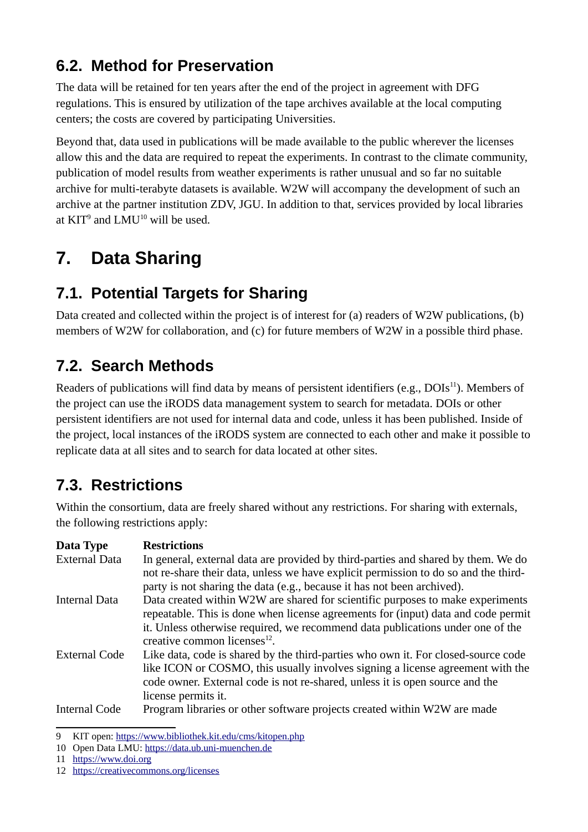### **6.2. Method for Preservation**

The data will be retained for ten years after the end of the project in agreement with DFG regulations. This is ensured by utilization of the tape archives available at the local computing centers; the costs are covered by participating Universities.

Beyond that, data used in publications will be made available to the public wherever the licenses allow this and the data are required to repeat the experiments. In contrast to the climate community, publication of model results from weather experiments is rather unusual and so far no suitable archive for multi-terabyte datasets is available. W2W will accompany the development of such an archive at the partner institution ZDV, JGU. In addition to that, services provided by local libraries at  $KIT^9$  and  $LMU^{10}$  will be used.

## **7. Data Sharing**

### **7.1. Potential Targets for Sharing**

Data created and collected within the project is of interest for (a) readers of W2W publications, (b) members of W2W for collaboration, and (c) for future members of W2W in a possible third phase.

### **7.2. Search Methods**

Readers of publications will find data by means of persistent identifiers (e.g.,  $DOIs<sup>11</sup>$ ). Members of the project can use the iRODS data management system to search for metadata. DOIs or other persistent identifiers are not used for internal data and code, unless it has been published. Inside of the project, local instances of the iRODS system are connected to each other and make it possible to replicate data at all sites and to search for data located at other sites.

### **7.3. Restrictions**

Within the consortium, data are freely shared without any restrictions. For sharing with externals, the following restrictions apply:

| Data Type            | <b>Restrictions</b>                                                                 |
|----------------------|-------------------------------------------------------------------------------------|
| <b>External Data</b> | In general, external data are provided by third-parties and shared by them. We do   |
|                      | not re-share their data, unless we have explicit permission to do so and the third- |
|                      | party is not sharing the data (e.g., because it has not been archived).             |
| <b>Internal Data</b> | Data created within W2W are shared for scientific purposes to make experiments      |
|                      | repeatable. This is done when license agreements for (input) data and code permit   |
|                      | it. Unless otherwise required, we recommend data publications under one of the      |
|                      | creative common licenses <sup>12</sup> .                                            |
| <b>External Code</b> | Like data, code is shared by the third-parties who own it. For closed-source code   |
|                      | like ICON or COSMO, this usually involves signing a license agreement with the      |
|                      | code owner. External code is not re-shared, unless it is open source and the        |
|                      | license permits it.                                                                 |
| <b>Internal Code</b> | Program libraries or other software projects created within W2W are made            |

<sup>9</sup> KIT open: https://www.bibliothek.kit.edu/cms/kitopen.php

<sup>10</sup> Open Data LMU: https://data.ub.uni-muenchen.de

<sup>11</sup> https://www.doi.org

<sup>12</sup> https://creativecommons.org/licenses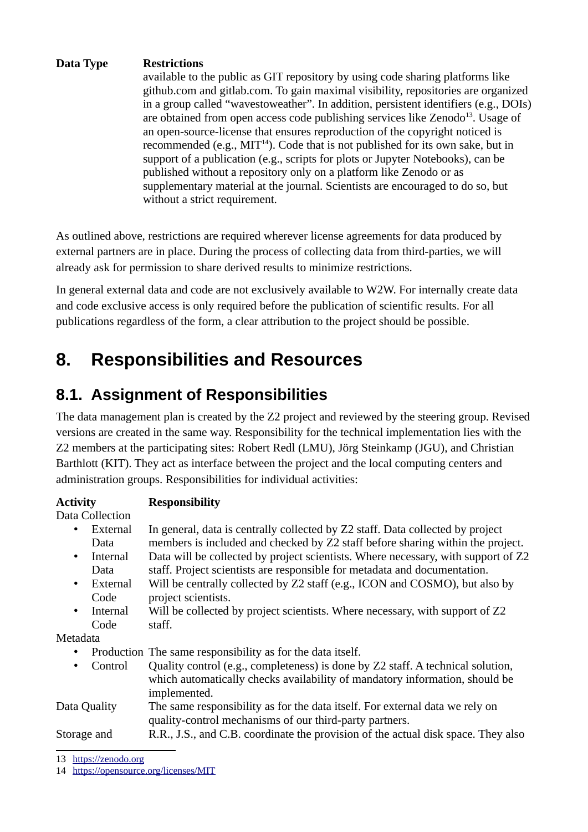#### **Data Type Restrictions**

available to the public as GIT repository by using code sharing platforms like github.com and gitlab.com. To gain maximal visibility, repositories are organized in a group called "wavestoweather". In addition, persistent identifiers (e.g., DOIs) are obtained from open access code publishing services like Zenodo<sup>13</sup>. Usage of an open-source-license that ensures reproduction of the copyright noticed is recommended (e.g.,  $MIT^{14}$ ). Code that is not published for its own sake, but in support of a publication (e.g., scripts for plots or Jupyter Notebooks), can be published without a repository only on a platform like Zenodo or as supplementary material at the journal. Scientists are encouraged to do so, but without a strict requirement.

As outlined above, restrictions are required wherever license agreements for data produced by external partners are in place. During the process of collecting data from third-parties, we will already ask for permission to share derived results to minimize restrictions.

In general external data and code are not exclusively available to W2W. For internally create data and code exclusive access is only required before the publication of scientific results. For all publications regardless of the form, a clear attribution to the project should be possible.

### **8. Responsibilities and Resources**

#### **8.1. Assignment of Responsibilities**

The data management plan is created by the Z2 project and reviewed by the steering group. Revised versions are created in the same way. Responsibility for the technical implementation lies with the Z2 members at the participating sites: Robert Redl (LMU), Jörg Steinkamp (JGU), and Christian Barthlott (KIT). They act as interface between the project and the local computing centers and administration groups. Responsibilities for individual activities:

#### **Activity Responsibility**

Data Collection

| • External |  |  |  |  | In general, data is centrally collected by Z2 staff. Data collected by project |  |  |
|------------|--|--|--|--|--------------------------------------------------------------------------------|--|--|
| Data       |  |  |  |  | members is included and checked by Z2 staff before sharing within the project. |  |  |
|            |  |  |  |  |                                                                                |  |  |

- Internal Data Data will be collected by project scientists. Where necessary, with support of Z2 staff. Project scientists are responsible for metadata and documentation.
- External Code Will be centrally collected by Z2 staff (e.g., ICON and COSMO), but also by project scientists.
- Internal Code Will be collected by project scientists. Where necessary, with support of Z2 staff.

Metadata

- Production The same responsibility as for the data itself.
- Control  $\qquad$  Ouality control (e.g., completeness) is done by Z2 staff. A technical solution, which automatically checks availability of mandatory information, should be implemented.

#### Data Quality The same responsibility as for the data itself. For external data we rely on quality-control mechanisms of our third-party partners.

Storage and R.R., J.S., and C.B. coordinate the provision of the actual disk space. They also

<sup>13</sup> https://zenodo.org

<sup>14</sup> https://opensource.org/licenses/MIT